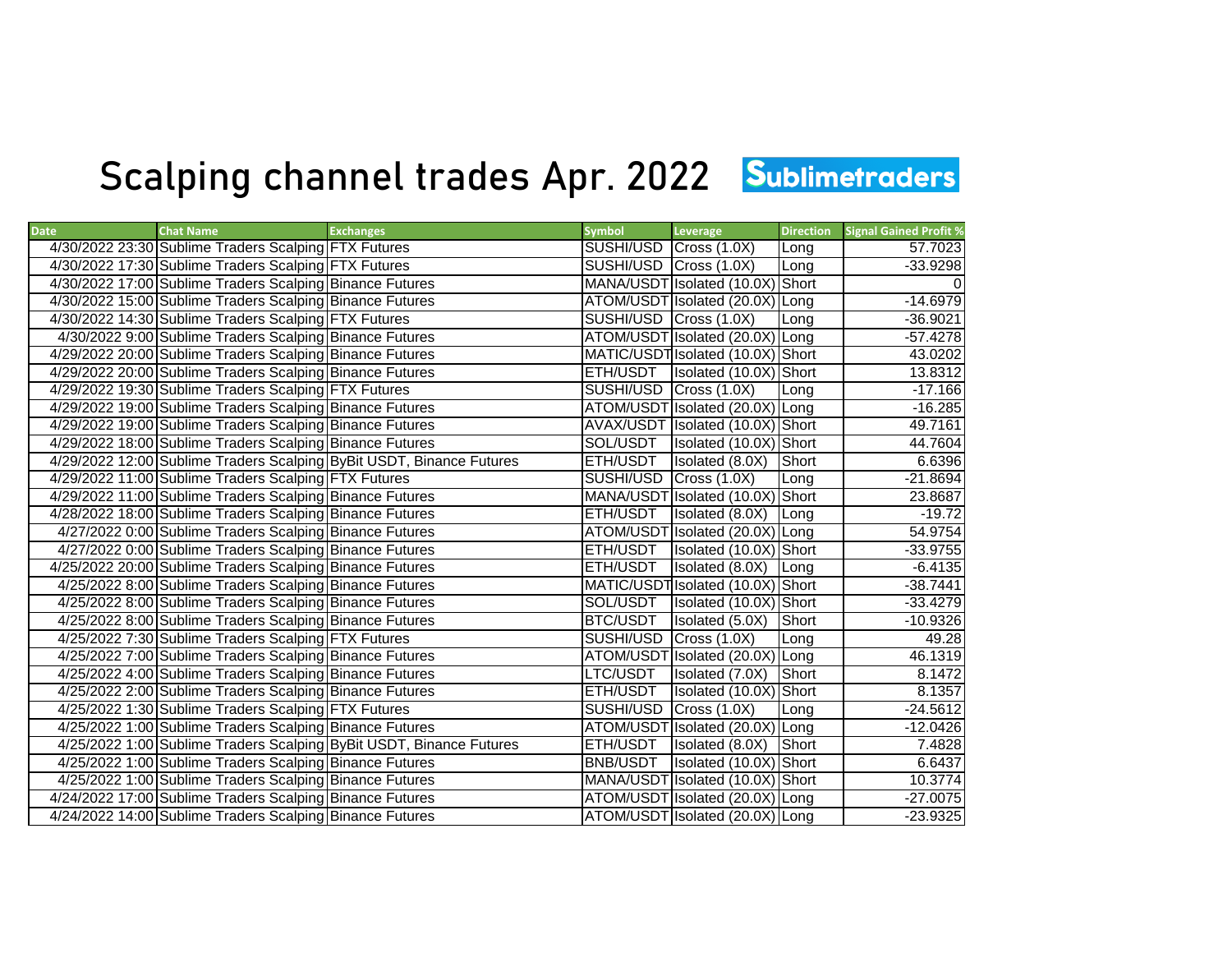## Scalping channel trades Apr. 2022 Sublimetraders

| <b>Date</b> | <b>Chat Name</b>                                         | <b>Exchanges</b>                                                     | <b>Symbol</b>          | Leverage                          | <b>Direction</b> | <b>Signal Gained Profit %</b> |
|-------------|----------------------------------------------------------|----------------------------------------------------------------------|------------------------|-----------------------------------|------------------|-------------------------------|
|             | 4/30/2022 23:30 Sublime Traders Scalping FTX Futures     |                                                                      | SUSHI/USD Cross (1.0X) |                                   | Long             | 57.7023                       |
|             | 4/30/2022 17:30 Sublime Traders Scalping FTX Futures     |                                                                      | SUSHI/USD Cross (1.0X) |                                   | Long             | $-33.9298$                    |
|             | 4/30/2022 17:00 Sublime Traders Scalping Binance Futures |                                                                      |                        | MANA/USDT Isolated (10.0X) Short  |                  |                               |
|             | 4/30/2022 15:00 Sublime Traders Scalping Binance Futures |                                                                      |                        | ATOM/USDT Isolated (20.0X) Long   |                  | $-14.6979$                    |
|             | 4/30/2022 14:30 Sublime Traders Scalping FTX Futures     |                                                                      | SUSHI/USD Cross (1.0X) |                                   | Long             | $-36.9021$                    |
|             | 4/30/2022 9:00 Sublime Traders Scalping Binance Futures  |                                                                      |                        | ATOM/USDT Isolated (20.0X) Long   |                  | $-57.4278$                    |
|             | 4/29/2022 20:00 Sublime Traders Scalping Binance Futures |                                                                      |                        | MATIC/USDT Isolated (10.0X) Short |                  | 43.0202                       |
|             | 4/29/2022 20:00 Sublime Traders Scalping Binance Futures |                                                                      |                        | ETH/USDT   Isolated (10.0X) Short |                  | 13.8312                       |
|             | 4/29/2022 19:30 Sublime Traders Scalping FTX Futures     |                                                                      | SUSHI/USD Cross (1.0X) |                                   | Long             | $-17.166$                     |
|             | 4/29/2022 19:00 Sublime Traders Scalping Binance Futures |                                                                      |                        | ATOM/USDT Isolated (20.0X) Long   |                  | $-16.285$                     |
|             | 4/29/2022 19:00 Sublime Traders Scalping Binance Futures |                                                                      |                        | AVAX/USDT Isolated (10.0X) Short  |                  | 49.7161                       |
|             | 4/29/2022 18:00 Sublime Traders Scalping Binance Futures |                                                                      | SOL/USDT               | Isolated (10.0X) Short            |                  | 44.7604                       |
|             |                                                          | 4/29/2022 12:00 Sublime Traders Scalping ByBit USDT, Binance Futures | ETH/USDT               | Isolated (8.0X)                   | Short            | 6.6396                        |
|             | 4/29/2022 11:00 Sublime Traders Scalping FTX Futures     |                                                                      | SUSHI/USD Cross (1.0X) |                                   | Long             | $-21.8694$                    |
|             | 4/29/2022 11:00 Sublime Traders Scalping Binance Futures |                                                                      |                        | MANA/USDT Isolated (10.0X) Short  |                  | 23.8687                       |
|             | 4/28/2022 18:00 Sublime Traders Scalping Binance Futures |                                                                      | ETH/USDT               | Isolated (8.0X)                   | Long             | $-19.72$                      |
|             | 4/27/2022 0:00 Sublime Traders Scalping Binance Futures  |                                                                      |                        | ATOM/USDT Isolated (20.0X) Long   |                  | 54.9754                       |
|             | 4/27/2022 0:00 Sublime Traders Scalping Binance Futures  |                                                                      | ETH/USDT               | Isolated (10.0X) Short            |                  | $-33.9755$                    |
|             | 4/25/2022 20:00 Sublime Traders Scalping Binance Futures |                                                                      | ETH/USDT               | Isolated (8.0X) Long              |                  | $-6.4135$                     |
|             | 4/25/2022 8:00 Sublime Traders Scalping Binance Futures  |                                                                      |                        | MATIC/USDT Isolated (10.0X) Short |                  | $-38.7441$                    |
|             | 4/25/2022 8:00 Sublime Traders Scalping Binance Futures  |                                                                      | SOL/USDT               | Isolated (10.0X) Short            |                  | $-33.4279$                    |
|             | 4/25/2022 8:00 Sublime Traders Scalping Binance Futures  |                                                                      | BTC/USDT               | Isolated (5.0X)                   | Short            | $-10.9326$                    |
|             | 4/25/2022 7:30 Sublime Traders Scalping FTX Futures      |                                                                      | SUSHI/USD Cross (1.0X) |                                   | Long             | 49.28                         |
|             | 4/25/2022 7:00 Sublime Traders Scalping Binance Futures  |                                                                      |                        | ATOM/USDT Isolated (20.0X) Long   |                  | 46.1319                       |
|             | 4/25/2022 4:00 Sublime Traders Scalping Binance Futures  |                                                                      | LTC/USDT               | Isolated (7.0X)                   | Short            | 8.1472                        |
|             | 4/25/2022 2:00 Sublime Traders Scalping Binance Futures  |                                                                      | ETH/USDT               | Isolated (10.0X) Short            |                  | 8.1357                        |
|             | 4/25/2022 1:30 Sublime Traders Scalping FTX Futures      |                                                                      | SUSHI/USD Cross (1.0X) |                                   | Long             | $-24.5612$                    |
|             | 4/25/2022 1:00 Sublime Traders Scalping Binance Futures  |                                                                      |                        | ATOM/USDT Isolated (20.0X) Long   |                  | $-12.0426$                    |
|             |                                                          | 4/25/2022 1:00 Sublime Traders Scalping ByBit USDT, Binance Futures  | ETH/USDT               | Isolated (8.0X)                   | <b>Short</b>     | 7.4828                        |
|             | 4/25/2022 1:00 Sublime Traders Scalping Binance Futures  |                                                                      | <b>BNB/USDT</b>        | Isolated (10.0X) Short            |                  | 6.6437                        |
|             | 4/25/2022 1:00 Sublime Traders Scalping Binance Futures  |                                                                      |                        | MANA/USDT Isolated (10.0X) Short  |                  | 10.3774                       |
|             | 4/24/2022 17:00 Sublime Traders Scalping Binance Futures |                                                                      |                        | ATOM/USDT Isolated (20.0X) Long   |                  | $-27.0075$                    |
|             | 4/24/2022 14:00 Sublime Traders Scalping Binance Futures |                                                                      |                        | ATOM/USDT Isolated (20.0X) Long   |                  | $-23.9325$                    |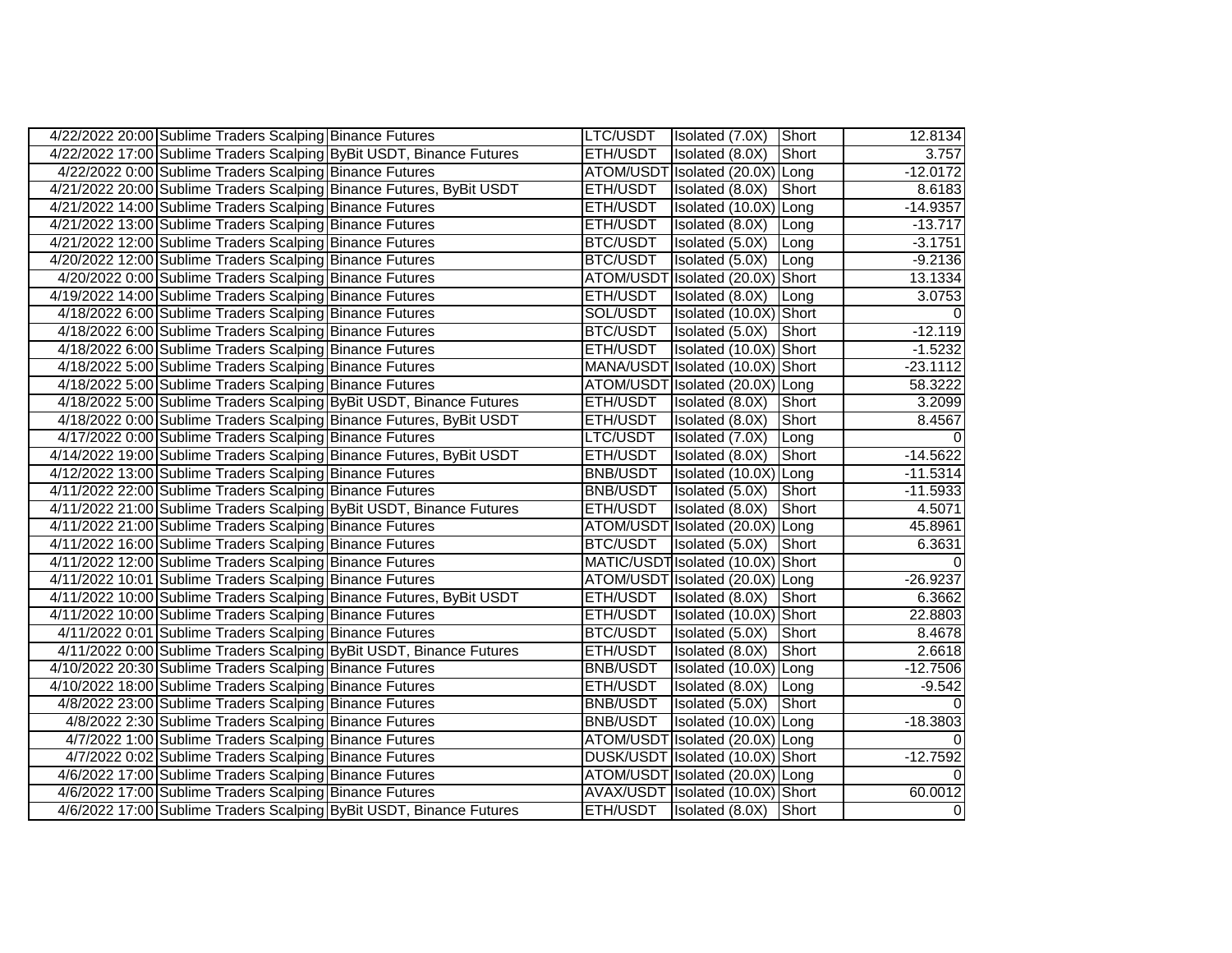| 4/22/2022 20:00 Sublime Traders Scalping Binance Futures |                                                                      |                 | LTC/USDT   Isolated (7.0X) Short  |               | 12.8134    |
|----------------------------------------------------------|----------------------------------------------------------------------|-----------------|-----------------------------------|---------------|------------|
|                                                          | 4/22/2022 17:00 Sublime Traders Scalping ByBit USDT, Binance Futures | ETH/USDT        | Isolated (8.0X)                   | Short         | 3.757      |
| 4/22/2022 0:00 Sublime Traders Scalping Binance Futures  |                                                                      |                 | ATOM/USDT Isolated (20.0X) Long   |               | $-12.0172$ |
|                                                          | 4/21/2022 20:00 Sublime Traders Scalping Binance Futures, ByBit USDT | ETH/USDT        | Isolated (8.0X)                   | Short         | 8.6183     |
| 4/21/2022 14:00 Sublime Traders Scalping Binance Futures |                                                                      | ETH/USDT        | Isolated (10.0X) Long             |               | $-14.9357$ |
| 4/21/2022 13:00 Sublime Traders Scalping Binance Futures |                                                                      | ETH/USDT        | Isolated (8.0X)                   | Long          | $-13.717$  |
| 4/21/2022 12:00 Sublime Traders Scalping Binance Futures |                                                                      | BTC/USDT        | Isolated (5.0X) Long              |               | $-3.1751$  |
| 4/20/2022 12:00 Sublime Traders Scalping Binance Futures |                                                                      | <b>BTC/USDT</b> | Isolated (5.0X) Long              |               | $-9.2136$  |
| 4/20/2022 0:00 Sublime Traders Scalping Binance Futures  |                                                                      |                 | ATOM/USDT Isolated (20.0X) Short  |               | 13.1334    |
| 4/19/2022 14:00 Sublime Traders Scalping Binance Futures |                                                                      | ETH/USDT        | Isolated (8.0X) Long              |               | 3.0753     |
| 4/18/2022 6:00 Sublime Traders Scalping Binance Futures  |                                                                      | SOL/USDT        | Isolated (10.0X) Short            |               |            |
| 4/18/2022 6:00 Sublime Traders Scalping Binance Futures  |                                                                      | BTC/USDT        | Isolated (5.0X)                   | Short         | $-12.119$  |
| 4/18/2022 6:00 Sublime Traders Scalping Binance Futures  |                                                                      | ETH/USDT        | Isolated (10.0X) Short            |               | $-1.5232$  |
| 4/18/2022 5:00 Sublime Traders Scalping Binance Futures  |                                                                      |                 | MANA/USDT Isolated (10.0X) Short  |               | $-23.1112$ |
| 4/18/2022 5:00 Sublime Traders Scalping Binance Futures  |                                                                      |                 | ATOM/USDT Isolated (20.0X) Long   |               | 58.3222    |
|                                                          | 4/18/2022 5:00 Sublime Traders Scalping ByBit USDT, Binance Futures  | ETH/USDT        | Isolated (8.0X)                   | Short         | 3.2099     |
|                                                          | 4/18/2022 0:00 Sublime Traders Scalping Binance Futures, ByBit USDT  | ETH/USDT        | Isolated (8.0X)                   | Short         | 8.4567     |
| 4/17/2022 0:00 Sublime Traders Scalping Binance Futures  |                                                                      | LTC/USDT        | Isolated (7.0X)                   | Long          |            |
|                                                          | 4/14/2022 19:00 Sublime Traders Scalping Binance Futures, ByBit USDT | ETH/USDT        | Isolated (8.0X)                   | <b>TShort</b> | $-14.5622$ |
| 4/12/2022 13:00 Sublime Traders Scalping Binance Futures |                                                                      | <b>BNB/USDT</b> | Isolated (10.0X) Long             |               | $-11.5314$ |
| 4/11/2022 22:00 Sublime Traders Scalping Binance Futures |                                                                      | <b>BNB/USDT</b> | Isolated (5.0X)                   | Short         | $-11.5933$ |
|                                                          | 4/11/2022 21:00 Sublime Traders Scalping ByBit USDT, Binance Futures | ETH/USDT        | Isolated (8.0X)                   | Short         | 4.5071     |
| 4/11/2022 21:00 Sublime Traders Scalping Binance Futures |                                                                      |                 | ATOM/USDT Isolated (20.0X) Long   |               | 45.8961    |
| 4/11/2022 16:00 Sublime Traders Scalping Binance Futures |                                                                      | BTC/USDT        | Isolated (5.0X)                   | Short         | 6.3631     |
| 4/11/2022 12:00 Sublime Traders Scalping Binance Futures |                                                                      |                 | MATIC/USDT Isolated (10.0X) Short |               |            |
| 4/11/2022 10:01 Sublime Traders Scalping Binance Futures |                                                                      |                 | ATOM/USDT Isolated (20.0X) Long   |               | $-26.9237$ |
|                                                          | 4/11/2022 10:00 Sublime Traders Scalping Binance Futures, ByBit USDT | ETH/USDT        | Isolated (8.0X)                   | Short         | 6.3662     |
| 4/11/2022 10:00 Sublime Traders Scalping Binance Futures |                                                                      | ETH/USDT        | Isolated (10.0X) Short            |               | 22.8803    |
| 4/11/2022 0:01 Sublime Traders Scalping Binance Futures  |                                                                      | BTC/USDT        | Isolated (5.0X)                   | Short         | 8.4678     |
|                                                          | 4/11/2022 0:00 Sublime Traders Scalping ByBit USDT, Binance Futures  | ETH/USDT        | Isolated (8.0X)                   | Short         | 2.6618     |
| 4/10/2022 20:30 Sublime Traders Scalping Binance Futures |                                                                      | BNB/USDT        | Isolated (10.0X) Long             |               | $-12.7506$ |
| 4/10/2022 18:00 Sublime Traders Scalping Binance Futures |                                                                      | ETH/USDT        | Isolated (8.0X)                   | Long          | $-9.542$   |
| 4/8/2022 23:00 Sublime Traders Scalping Binance Futures  |                                                                      | BNB/USDT        | Isolated (5.0X)                   | Short         |            |
| 4/8/2022 2:30 Sublime Traders Scalping Binance Futures   |                                                                      | BNB/USDT        | Isolated (10.0X) Long             |               | $-18.3803$ |
| 4/7/2022 1:00 Sublime Traders Scalping Binance Futures   |                                                                      |                 | ATOM/USDT Isolated (20.0X) Long   |               |            |
| 4/7/2022 0:02 Sublime Traders Scalping Binance Futures   |                                                                      |                 | DUSK/USDT Isolated (10.0X) Short  |               | $-12.7592$ |
| 4/6/2022 17:00 Sublime Traders Scalping Binance Futures  |                                                                      |                 | ATOM/USDT Isolated (20.0X) Long   |               |            |
| 4/6/2022 17:00 Sublime Traders Scalping Binance Futures  |                                                                      |                 | AVAX/USDT Isolated (10.0X) Short  |               | 60.0012    |
|                                                          | 4/6/2022 17:00 Sublime Traders Scalping ByBit USDT, Binance Futures  | ETH/USDT        | Isolated (8.0X) Short             |               | 0          |